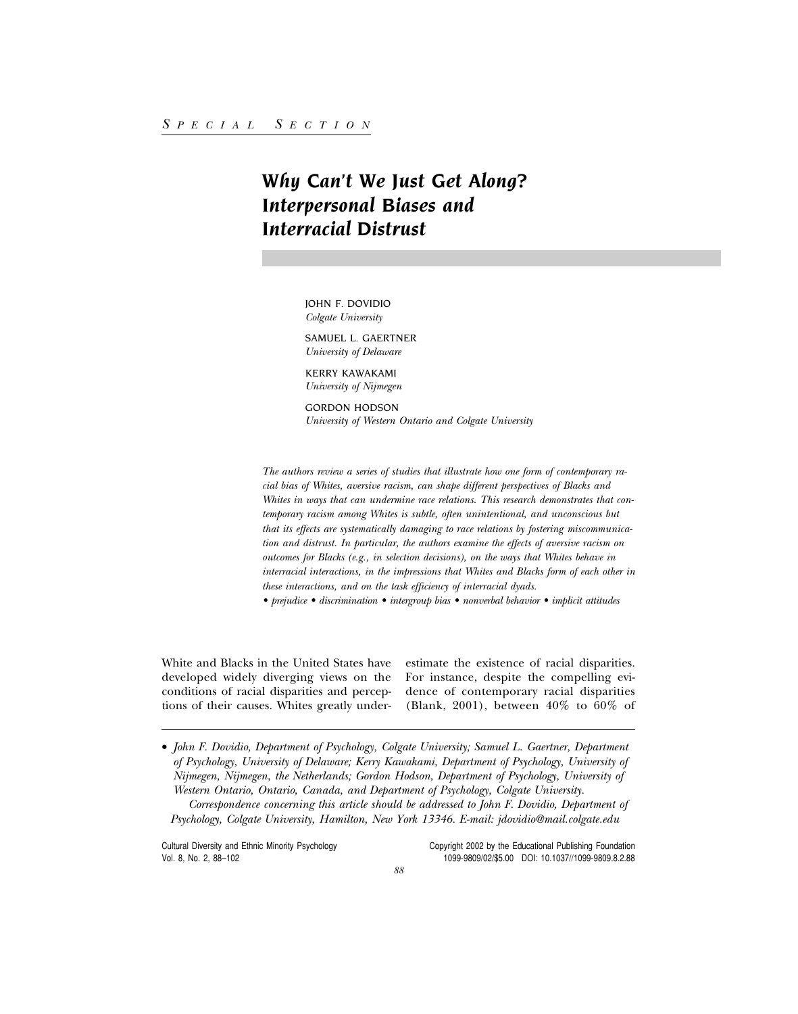# *Why Can't We Just Get Along? Interpersonal Biases and Interracial Distrust*

JOHN F. DOVIDIO *Colgate University*

SAMUEL L. GAERTNER *University of Delaware*

KERRY KAWAKAMI *University of Nijmegen*

GORDON HODSON *University of Western Ontario and Colgate University*

*The authors review a series of studies that illustrate how one form of contemporary racial bias of Whites, aversive racism, can shape different perspectives of Blacks and Whites in ways that can undermine race relations. This research demonstrates that contemporary racism among Whites is subtle, often unintentional, and unconscious but that its effects are systematically damaging to race relations by fostering miscommunication and distrust. In particular, the authors examine the effects of aversive racism on outcomes for Blacks (e.g., in selection decisions), on the ways that Whites behave in interracial interactions, in the impressions that Whites and Blacks form of each other in these interactions, and on the task efficiency of interracial dyads.*

*• prejudice • discrimination • intergroup bias • nonverbal behavior • implicit attitudes*

White and Blacks in the United States have developed widely diverging views on the conditions of racial disparities and perceptions of their causes. Whites greatly under-

estimate the existence of racial disparities. For instance, despite the compelling evidence of contemporary racial disparities (Blank, 2001), between 40% to 60% of

• *John F. Dovidio, Department of Psychology, Colgate University; Samuel L. Gaertner, Department of Psychology, University of Delaware; Kerry Kawakami, Department of Psychology, University of Nijmegen, Nijmegen, the Netherlands; Gordon Hodson, Department of Psychology, University of Western Ontario, Ontario, Canada, and Department of Psychology, Colgate University. Correspondence concerning this article should be addressed to John F. Dovidio, Department of Psychology, Colgate University, Hamilton, New York 13346. E-mail: jdovidio@mail.colgate.edu*

Cultural Diversity and Ethnic Minority Psychology Copyright 2002 by the Educational Publishing Foundation Vol. 8, No. 2, 88–102 1099-9809/02/\$5.00 DOI: 10.1037//1099-9809.8.2.88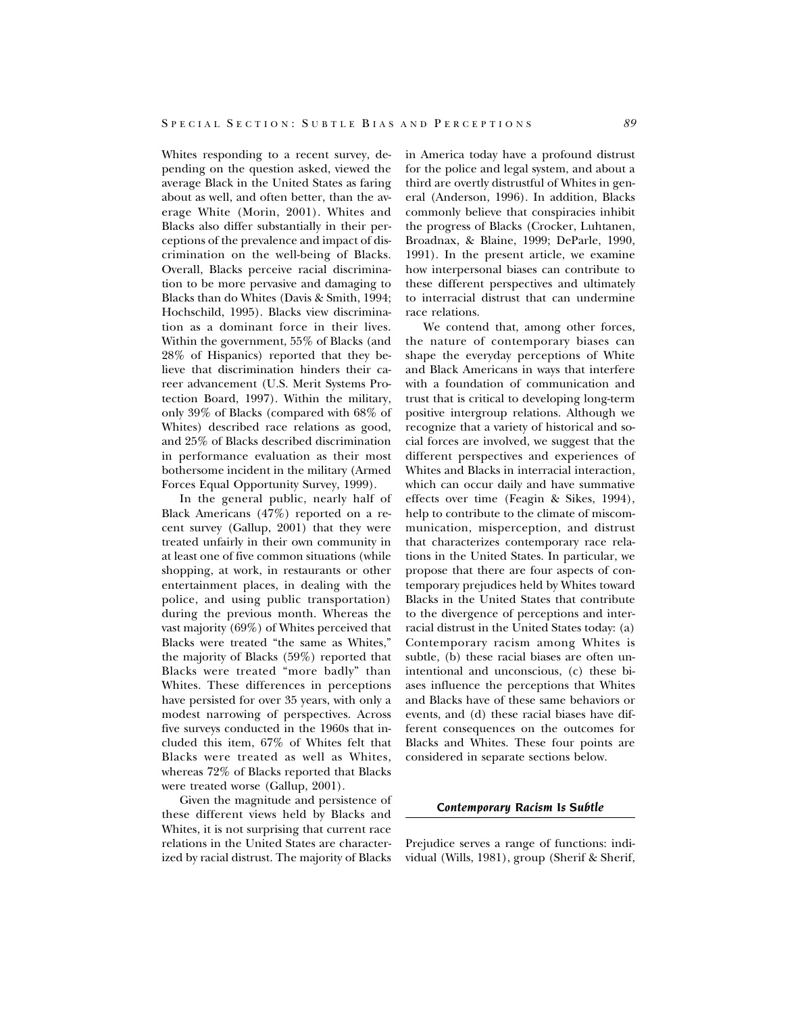Whites responding to a recent survey, depending on the question asked, viewed the average Black in the United States as faring about as well, and often better, than the average White (Morin, 2001). Whites and Blacks also differ substantially in their perceptions of the prevalence and impact of discrimination on the well-being of Blacks. Overall, Blacks perceive racial discrimination to be more pervasive and damaging to Blacks than do Whites (Davis & Smith, 1994; Hochschild, 1995). Blacks view discrimination as a dominant force in their lives. Within the government, 55% of Blacks (and 28% of Hispanics) reported that they believe that discrimination hinders their career advancement (U.S. Merit Systems Protection Board, 1997). Within the military, only 39% of Blacks (compared with 68% of Whites) described race relations as good, and 25% of Blacks described discrimination in performance evaluation as their most bothersome incident in the military (Armed Forces Equal Opportunity Survey, 1999).

In the general public, nearly half of Black Americans (47%) reported on a recent survey (Gallup, 2001) that they were treated unfairly in their own community in at least one of five common situations (while shopping, at work, in restaurants or other entertainment places, in dealing with the police, and using public transportation) during the previous month. Whereas the vast majority (69%) of Whites perceived that Blacks were treated "the same as Whites," the majority of Blacks (59%) reported that Blacks were treated "more badly" than Whites. These differences in perceptions have persisted for over 35 years, with only a modest narrowing of perspectives. Across five surveys conducted in the 1960s that included this item, 67% of Whites felt that Blacks were treated as well as Whites, whereas 72% of Blacks reported that Blacks were treated worse (Gallup, 2001).

Given the magnitude and persistence of these different views held by Blacks and Whites, it is not surprising that current race relations in the United States are characterized by racial distrust. The majority of Blacks in America today have a profound distrust for the police and legal system, and about a third are overtly distrustful of Whites in general (Anderson, 1996). In addition, Blacks commonly believe that conspiracies inhibit the progress of Blacks (Crocker, Luhtanen, Broadnax, & Blaine, 1999; DeParle, 1990, 1991). In the present article, we examine how interpersonal biases can contribute to these different perspectives and ultimately to interracial distrust that can undermine race relations.

We contend that, among other forces, the nature of contemporary biases can shape the everyday perceptions of White and Black Americans in ways that interfere with a foundation of communication and trust that is critical to developing long-term positive intergroup relations. Although we recognize that a variety of historical and social forces are involved, we suggest that the different perspectives and experiences of Whites and Blacks in interracial interaction, which can occur daily and have summative effects over time (Feagin & Sikes, 1994), help to contribute to the climate of miscommunication, misperception, and distrust that characterizes contemporary race relations in the United States. In particular, we propose that there are four aspects of contemporary prejudices held by Whites toward Blacks in the United States that contribute to the divergence of perceptions and interracial distrust in the United States today: (a) Contemporary racism among Whites is subtle, (b) these racial biases are often unintentional and unconscious, (c) these biases influence the perceptions that Whites and Blacks have of these same behaviors or events, and (d) these racial biases have different consequences on the outcomes for Blacks and Whites. These four points are considered in separate sections below.

# *Contemporary Racism Is Subtle*

Prejudice serves a range of functions: individual (Wills, 1981), group (Sherif & Sherif,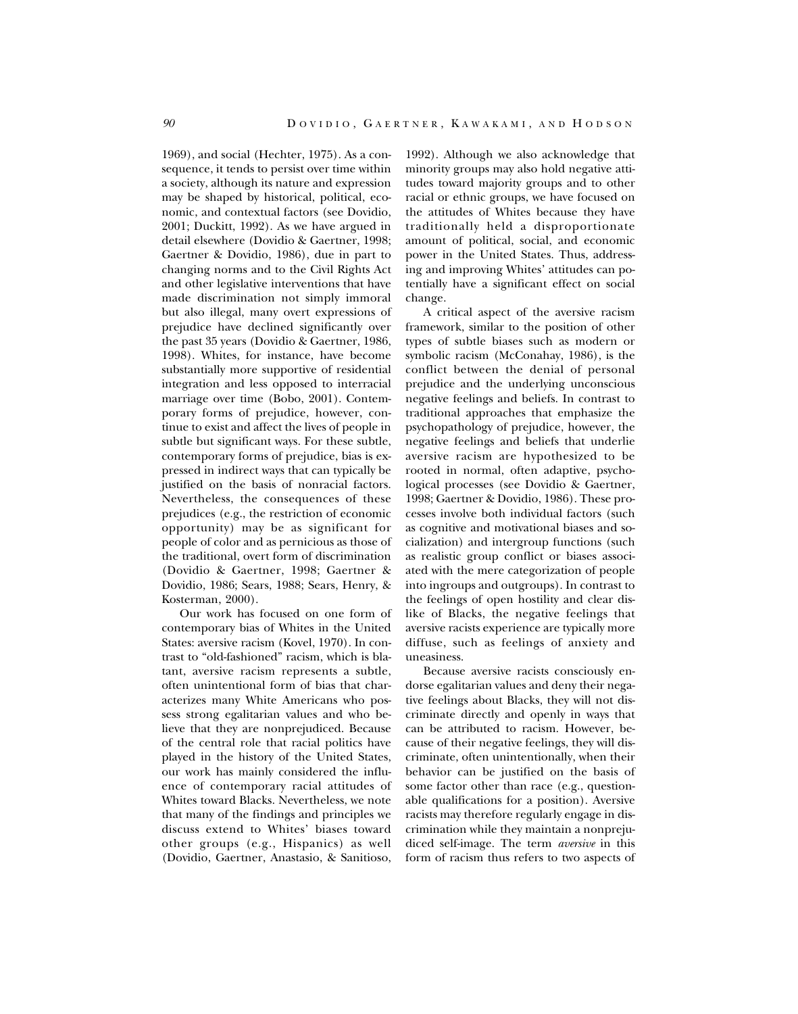1969), and social (Hechter, 1975). As a consequence, it tends to persist over time within a society, although its nature and expression may be shaped by historical, political, economic, and contextual factors (see Dovidio, 2001; Duckitt, 1992). As we have argued in detail elsewhere (Dovidio & Gaertner, 1998; Gaertner & Dovidio, 1986), due in part to changing norms and to the Civil Rights Act and other legislative interventions that have made discrimination not simply immoral but also illegal, many overt expressions of prejudice have declined significantly over the past 35 years (Dovidio & Gaertner, 1986, 1998). Whites, for instance, have become substantially more supportive of residential integration and less opposed to interracial marriage over time (Bobo, 2001). Contemporary forms of prejudice, however, continue to exist and affect the lives of people in subtle but significant ways. For these subtle, contemporary forms of prejudice, bias is expressed in indirect ways that can typically be justified on the basis of nonracial factors. Nevertheless, the consequences of these prejudices (e.g., the restriction of economic opportunity) may be as significant for people of color and as pernicious as those of the traditional, overt form of discrimination (Dovidio & Gaertner, 1998; Gaertner & Dovidio, 1986; Sears, 1988; Sears, Henry, & Kosterman, 2000).

Our work has focused on one form of contemporary bias of Whites in the United States: aversive racism (Kovel, 1970). In contrast to "old-fashioned" racism, which is blatant, aversive racism represents a subtle, often unintentional form of bias that characterizes many White Americans who possess strong egalitarian values and who believe that they are nonprejudiced. Because of the central role that racial politics have played in the history of the United States, our work has mainly considered the influence of contemporary racial attitudes of Whites toward Blacks. Nevertheless, we note that many of the findings and principles we discuss extend to Whites' biases toward other groups (e.g., Hispanics) as well (Dovidio, Gaertner, Anastasio, & Sanitioso,

1992). Although we also acknowledge that minority groups may also hold negative attitudes toward majority groups and to other racial or ethnic groups, we have focused on the attitudes of Whites because they have traditionally held a disproportionate amount of political, social, and economic power in the United States. Thus, addressing and improving Whites' attitudes can potentially have a significant effect on social change.

A critical aspect of the aversive racism framework, similar to the position of other types of subtle biases such as modern or symbolic racism (McConahay, 1986), is the conflict between the denial of personal prejudice and the underlying unconscious negative feelings and beliefs. In contrast to traditional approaches that emphasize the psychopathology of prejudice, however, the negative feelings and beliefs that underlie aversive racism are hypothesized to be rooted in normal, often adaptive, psychological processes (see Dovidio & Gaertner, 1998; Gaertner & Dovidio, 1986). These processes involve both individual factors (such as cognitive and motivational biases and socialization) and intergroup functions (such as realistic group conflict or biases associated with the mere categorization of people into ingroups and outgroups). In contrast to the feelings of open hostility and clear dislike of Blacks, the negative feelings that aversive racists experience are typically more diffuse, such as feelings of anxiety and uneasiness.

Because aversive racists consciously endorse egalitarian values and deny their negative feelings about Blacks, they will not discriminate directly and openly in ways that can be attributed to racism. However, because of their negative feelings, they will discriminate, often unintentionally, when their behavior can be justified on the basis of some factor other than race (e.g., questionable qualifications for a position). Aversive racists may therefore regularly engage in discrimination while they maintain a nonprejudiced self-image. The term *aversive* in this form of racism thus refers to two aspects of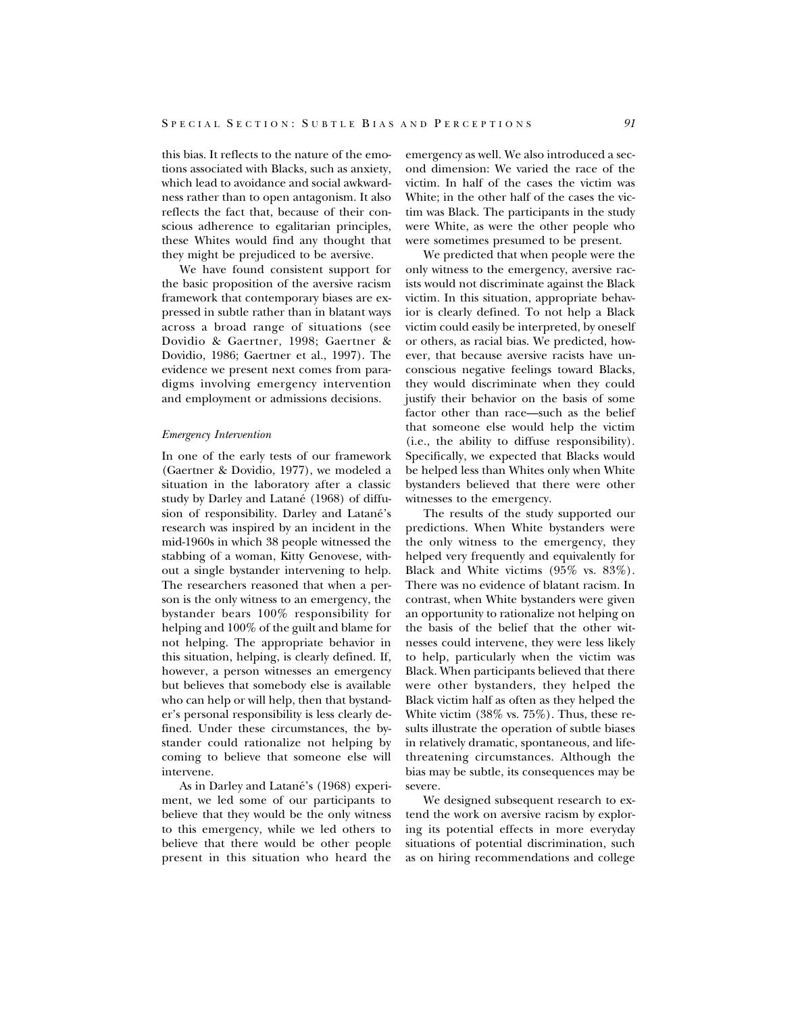this bias. It reflects to the nature of the emotions associated with Blacks, such as anxiety, which lead to avoidance and social awkwardness rather than to open antagonism. It also reflects the fact that, because of their conscious adherence to egalitarian principles, these Whites would find any thought that they might be prejudiced to be aversive.

We have found consistent support for the basic proposition of the aversive racism framework that contemporary biases are expressed in subtle rather than in blatant ways across a broad range of situations (see Dovidio & Gaertner, 1998; Gaertner & Dovidio, 1986; Gaertner et al., 1997). The evidence we present next comes from paradigms involving emergency intervention and employment or admissions decisions.

# *Emergency Intervention*

In one of the early tests of our framework (Gaertner & Dovidio, 1977), we modeled a situation in the laboratory after a classic study by Darley and Latané (1968) of diffusion of responsibility. Darley and Latané's research was inspired by an incident in the mid-1960s in which 38 people witnessed the stabbing of a woman, Kitty Genovese, without a single bystander intervening to help. The researchers reasoned that when a person is the only witness to an emergency, the bystander bears 100% responsibility for helping and 100% of the guilt and blame for not helping. The appropriate behavior in this situation, helping, is clearly defined. If, however, a person witnesses an emergency but believes that somebody else is available who can help or will help, then that bystander's personal responsibility is less clearly defined. Under these circumstances, the bystander could rationalize not helping by coming to believe that someone else will intervene.

As in Darley and Latané's (1968) experiment, we led some of our participants to believe that they would be the only witness to this emergency, while we led others to believe that there would be other people present in this situation who heard the

emergency as well. We also introduced a second dimension: We varied the race of the victim. In half of the cases the victim was White; in the other half of the cases the victim was Black. The participants in the study were White, as were the other people who were sometimes presumed to be present.

We predicted that when people were the only witness to the emergency, aversive racists would not discriminate against the Black victim. In this situation, appropriate behavior is clearly defined. To not help a Black victim could easily be interpreted, by oneself or others, as racial bias. We predicted, however, that because aversive racists have unconscious negative feelings toward Blacks, they would discriminate when they could justify their behavior on the basis of some factor other than race—such as the belief that someone else would help the victim (i.e., the ability to diffuse responsibility). Specifically, we expected that Blacks would be helped less than Whites only when White bystanders believed that there were other witnesses to the emergency.

The results of the study supported our predictions. When White bystanders were the only witness to the emergency, they helped very frequently and equivalently for Black and White victims (95% vs. 83%). There was no evidence of blatant racism. In contrast, when White bystanders were given an opportunity to rationalize not helping on the basis of the belief that the other witnesses could intervene, they were less likely to help, particularly when the victim was Black. When participants believed that there were other bystanders, they helped the Black victim half as often as they helped the White victim (38% vs. 75%). Thus, these results illustrate the operation of subtle biases in relatively dramatic, spontaneous, and lifethreatening circumstances. Although the bias may be subtle, its consequences may be severe.

We designed subsequent research to extend the work on aversive racism by exploring its potential effects in more everyday situations of potential discrimination, such as on hiring recommendations and college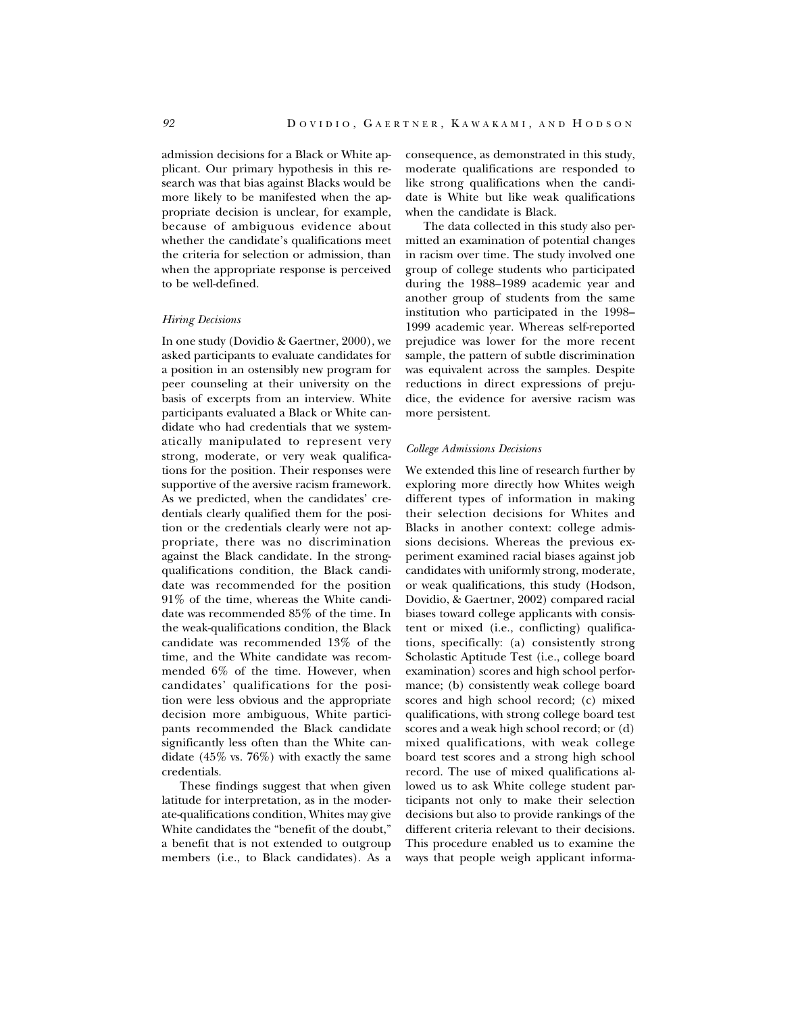admission decisions for a Black or White applicant. Our primary hypothesis in this research was that bias against Blacks would be more likely to be manifested when the appropriate decision is unclear, for example, because of ambiguous evidence about whether the candidate's qualifications meet the criteria for selection or admission, than when the appropriate response is perceived to be well-defined.

#### *Hiring Decisions*

In one study (Dovidio & Gaertner, 2000), we asked participants to evaluate candidates for a position in an ostensibly new program for peer counseling at their university on the basis of excerpts from an interview. White participants evaluated a Black or White candidate who had credentials that we systematically manipulated to represent very strong, moderate, or very weak qualifications for the position. Their responses were supportive of the aversive racism framework. As we predicted, when the candidates' credentials clearly qualified them for the position or the credentials clearly were not appropriate, there was no discrimination against the Black candidate. In the strongqualifications condition, the Black candidate was recommended for the position 91% of the time, whereas the White candidate was recommended 85% of the time. In the weak-qualifications condition, the Black candidate was recommended 13% of the time, and the White candidate was recommended 6% of the time. However, when candidates' qualifications for the position were less obvious and the appropriate decision more ambiguous, White participants recommended the Black candidate significantly less often than the White candidate (45% vs. 76%) with exactly the same credentials.

These findings suggest that when given latitude for interpretation, as in the moderate-qualifications condition, Whites may give White candidates the "benefit of the doubt," a benefit that is not extended to outgroup members (i.e., to Black candidates). As a

consequence, as demonstrated in this study, moderate qualifications are responded to like strong qualifications when the candidate is White but like weak qualifications when the candidate is Black.

The data collected in this study also permitted an examination of potential changes in racism over time. The study involved one group of college students who participated during the 1988–1989 academic year and another group of students from the same institution who participated in the 1998– 1999 academic year. Whereas self-reported prejudice was lower for the more recent sample, the pattern of subtle discrimination was equivalent across the samples. Despite reductions in direct expressions of prejudice, the evidence for aversive racism was more persistent.

### *College Admissions Decisions*

We extended this line of research further by exploring more directly how Whites weigh different types of information in making their selection decisions for Whites and Blacks in another context: college admissions decisions. Whereas the previous experiment examined racial biases against job candidates with uniformly strong, moderate, or weak qualifications, this study (Hodson, Dovidio, & Gaertner, 2002) compared racial biases toward college applicants with consistent or mixed (i.e., conflicting) qualifications, specifically: (a) consistently strong Scholastic Aptitude Test (i.e., college board examination) scores and high school performance; (b) consistently weak college board scores and high school record; (c) mixed qualifications, with strong college board test scores and a weak high school record; or (d) mixed qualifications, with weak college board test scores and a strong high school record. The use of mixed qualifications allowed us to ask White college student participants not only to make their selection decisions but also to provide rankings of the different criteria relevant to their decisions. This procedure enabled us to examine the ways that people weigh applicant informa-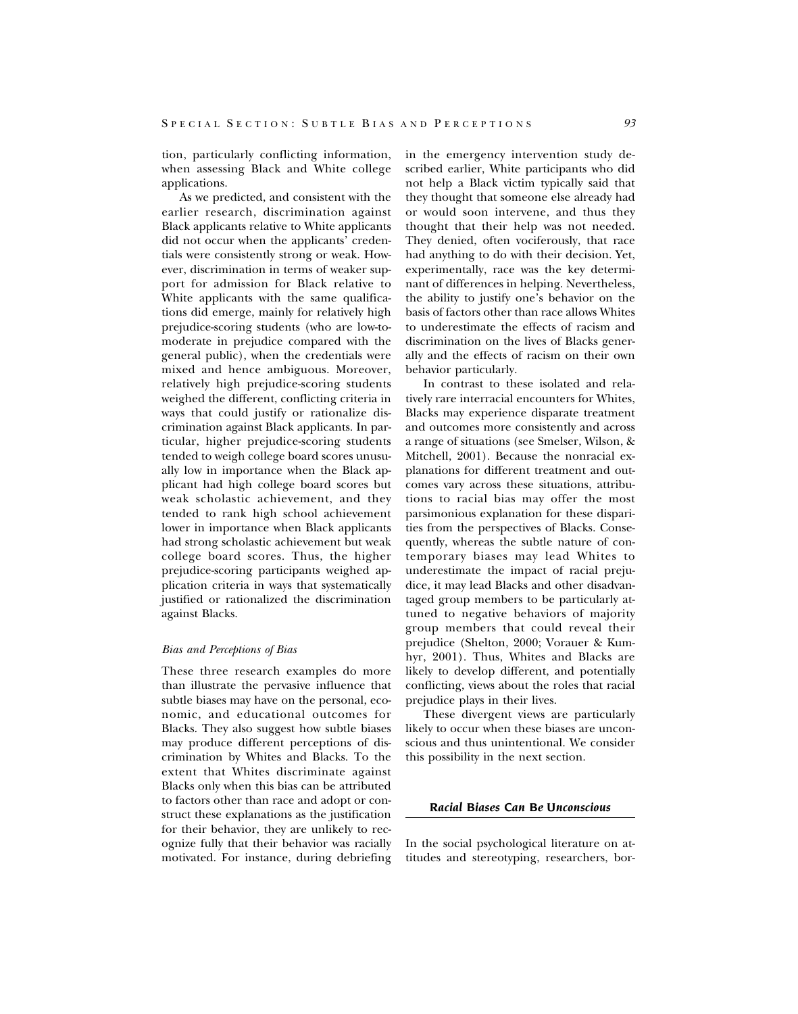tion, particularly conflicting information, when assessing Black and White college applications.

As we predicted, and consistent with the earlier research, discrimination against Black applicants relative to White applicants did not occur when the applicants' credentials were consistently strong or weak. However, discrimination in terms of weaker support for admission for Black relative to White applicants with the same qualifications did emerge, mainly for relatively high prejudice-scoring students (who are low-tomoderate in prejudice compared with the general public), when the credentials were mixed and hence ambiguous. Moreover, relatively high prejudice-scoring students weighed the different, conflicting criteria in ways that could justify or rationalize discrimination against Black applicants. In particular, higher prejudice-scoring students tended to weigh college board scores unusually low in importance when the Black applicant had high college board scores but weak scholastic achievement, and they tended to rank high school achievement lower in importance when Black applicants had strong scholastic achievement but weak college board scores. Thus, the higher prejudice-scoring participants weighed application criteria in ways that systematically justified or rationalized the discrimination against Blacks.

#### *Bias and Perceptions of Bias*

These three research examples do more than illustrate the pervasive influence that subtle biases may have on the personal, economic, and educational outcomes for Blacks. They also suggest how subtle biases may produce different perceptions of discrimination by Whites and Blacks. To the extent that Whites discriminate against Blacks only when this bias can be attributed to factors other than race and adopt or construct these explanations as the justification for their behavior, they are unlikely to recognize fully that their behavior was racially motivated. For instance, during debriefing in the emergency intervention study described earlier, White participants who did not help a Black victim typically said that they thought that someone else already had or would soon intervene, and thus they thought that their help was not needed. They denied, often vociferously, that race had anything to do with their decision. Yet, experimentally, race was the key determinant of differences in helping. Nevertheless, the ability to justify one's behavior on the basis of factors other than race allows Whites to underestimate the effects of racism and discrimination on the lives of Blacks generally and the effects of racism on their own behavior particularly.

In contrast to these isolated and relatively rare interracial encounters for Whites, Blacks may experience disparate treatment and outcomes more consistently and across a range of situations (see Smelser, Wilson, & Mitchell, 2001). Because the nonracial explanations for different treatment and outcomes vary across these situations, attributions to racial bias may offer the most parsimonious explanation for these disparities from the perspectives of Blacks. Consequently, whereas the subtle nature of contemporary biases may lead Whites to underestimate the impact of racial prejudice, it may lead Blacks and other disadvantaged group members to be particularly attuned to negative behaviors of majority group members that could reveal their prejudice (Shelton, 2000; Vorauer & Kumhyr, 2001). Thus, Whites and Blacks are likely to develop different, and potentially conflicting, views about the roles that racial prejudice plays in their lives.

These divergent views are particularly likely to occur when these biases are unconscious and thus unintentional. We consider this possibility in the next section.

#### *Racial Biases Can Be Unconscious*

In the social psychological literature on attitudes and stereotyping, researchers, bor-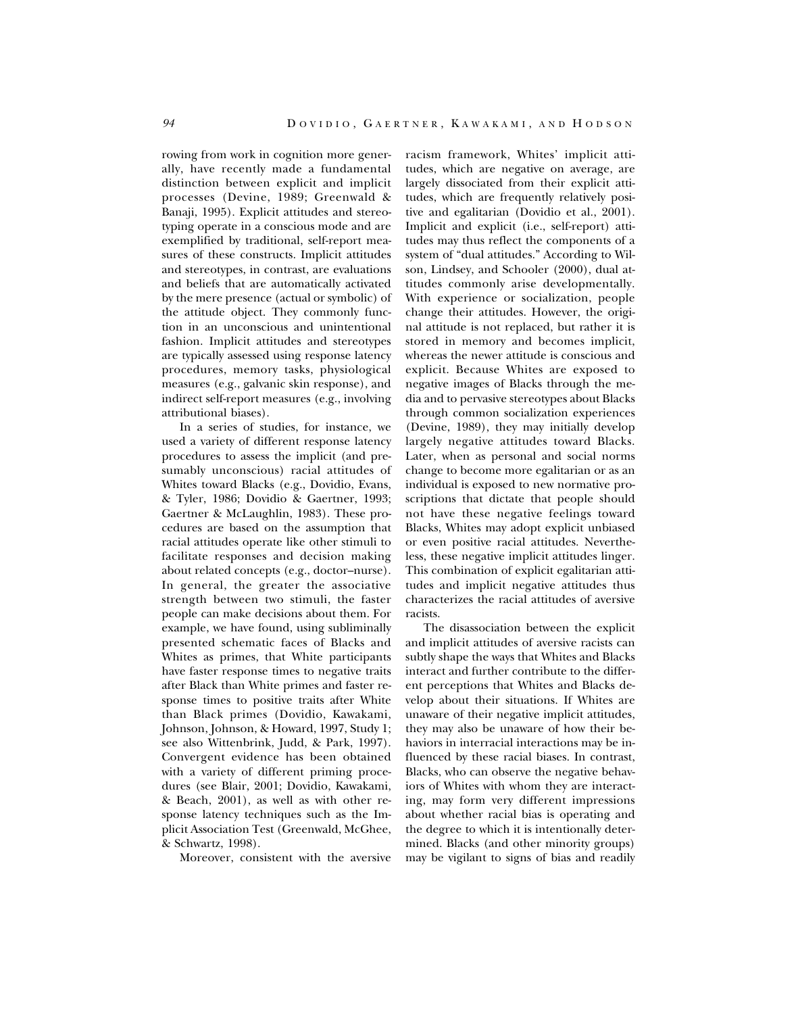rowing from work in cognition more generally, have recently made a fundamental distinction between explicit and implicit processes (Devine, 1989; Greenwald & Banaji, 1995). Explicit attitudes and stereotyping operate in a conscious mode and are exemplified by traditional, self-report measures of these constructs. Implicit attitudes and stereotypes, in contrast, are evaluations and beliefs that are automatically activated by the mere presence (actual or symbolic) of the attitude object. They commonly function in an unconscious and unintentional fashion. Implicit attitudes and stereotypes are typically assessed using response latency procedures, memory tasks, physiological measures (e.g., galvanic skin response), and indirect self-report measures (e.g., involving attributional biases).

In a series of studies, for instance, we used a variety of different response latency procedures to assess the implicit (and presumably unconscious) racial attitudes of Whites toward Blacks (e.g., Dovidio, Evans, & Tyler, 1986; Dovidio & Gaertner, 1993; Gaertner & McLaughlin, 1983). These procedures are based on the assumption that racial attitudes operate like other stimuli to facilitate responses and decision making about related concepts (e.g., doctor–nurse). In general, the greater the associative strength between two stimuli, the faster people can make decisions about them. For example, we have found, using subliminally presented schematic faces of Blacks and Whites as primes, that White participants have faster response times to negative traits after Black than White primes and faster response times to positive traits after White than Black primes (Dovidio, Kawakami, Johnson, Johnson, & Howard, 1997, Study 1; see also Wittenbrink, Judd, & Park, 1997). Convergent evidence has been obtained with a variety of different priming procedures (see Blair, 2001; Dovidio, Kawakami, & Beach, 2001), as well as with other response latency techniques such as the Implicit Association Test (Greenwald, McGhee, & Schwartz, 1998).

Moreover, consistent with the aversive

racism framework, Whites' implicit attitudes, which are negative on average, are largely dissociated from their explicit attitudes, which are frequently relatively positive and egalitarian (Dovidio et al., 2001). Implicit and explicit (i.e., self-report) attitudes may thus reflect the components of a system of "dual attitudes." According to Wilson, Lindsey, and Schooler (2000), dual attitudes commonly arise developmentally. With experience or socialization, people change their attitudes. However, the original attitude is not replaced, but rather it is stored in memory and becomes implicit, whereas the newer attitude is conscious and explicit. Because Whites are exposed to negative images of Blacks through the media and to pervasive stereotypes about Blacks through common socialization experiences (Devine, 1989), they may initially develop largely negative attitudes toward Blacks. Later, when as personal and social norms change to become more egalitarian or as an individual is exposed to new normative proscriptions that dictate that people should not have these negative feelings toward Blacks, Whites may adopt explicit unbiased or even positive racial attitudes. Nevertheless, these negative implicit attitudes linger. This combination of explicit egalitarian attitudes and implicit negative attitudes thus characterizes the racial attitudes of aversive racists.

The disassociation between the explicit and implicit attitudes of aversive racists can subtly shape the ways that Whites and Blacks interact and further contribute to the different perceptions that Whites and Blacks develop about their situations. If Whites are unaware of their negative implicit attitudes, they may also be unaware of how their behaviors in interracial interactions may be influenced by these racial biases. In contrast, Blacks, who can observe the negative behaviors of Whites with whom they are interacting, may form very different impressions about whether racial bias is operating and the degree to which it is intentionally determined. Blacks (and other minority groups) may be vigilant to signs of bias and readily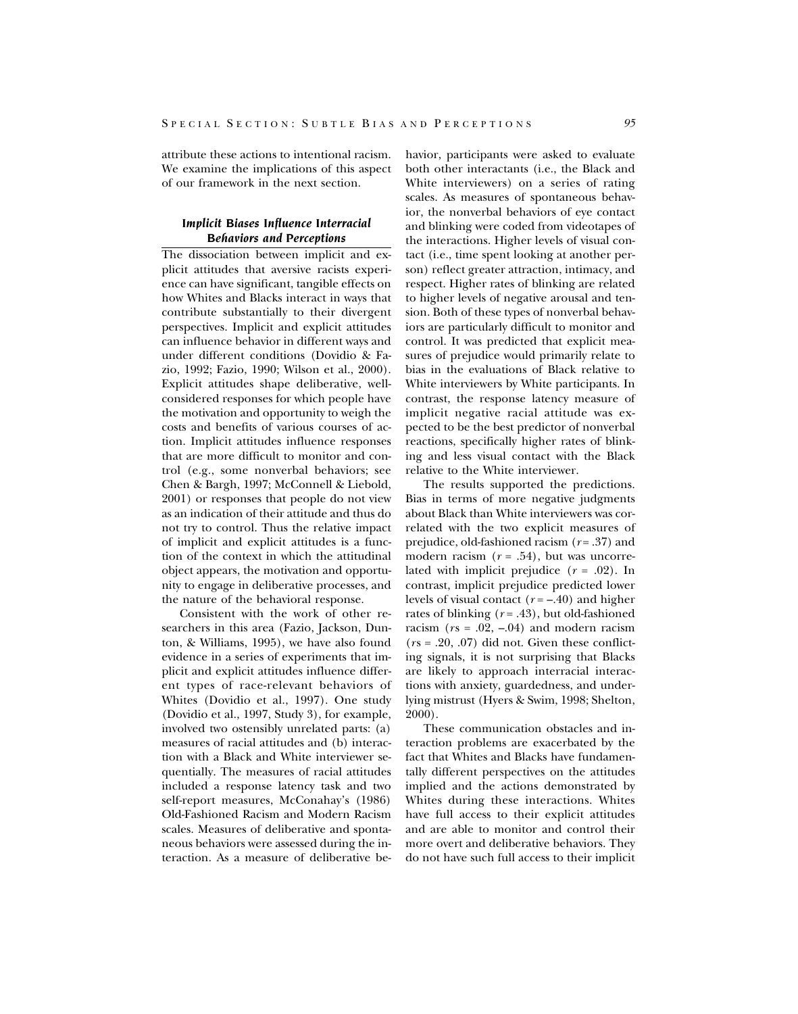attribute these actions to intentional racism. We examine the implications of this aspect of our framework in the next section.

# *Implicit Biases Influence Interracial Behaviors and Perceptions*

The dissociation between implicit and explicit attitudes that aversive racists experience can have significant, tangible effects on how Whites and Blacks interact in ways that contribute substantially to their divergent perspectives. Implicit and explicit attitudes can influence behavior in different ways and under different conditions (Dovidio & Fazio, 1992; Fazio, 1990; Wilson et al., 2000). Explicit attitudes shape deliberative, wellconsidered responses for which people have the motivation and opportunity to weigh the costs and benefits of various courses of action. Implicit attitudes influence responses that are more difficult to monitor and control (e.g., some nonverbal behaviors; see Chen & Bargh, 1997; McConnell & Liebold, 2001) or responses that people do not view as an indication of their attitude and thus do not try to control. Thus the relative impact of implicit and explicit attitudes is a function of the context in which the attitudinal object appears, the motivation and opportunity to engage in deliberative processes, and the nature of the behavioral response.

Consistent with the work of other researchers in this area (Fazio, Jackson, Dunton, & Williams, 1995), we have also found evidence in a series of experiments that implicit and explicit attitudes influence different types of race-relevant behaviors of Whites (Dovidio et al., 1997). One study (Dovidio et al., 1997, Study 3), for example, involved two ostensibly unrelated parts: (a) measures of racial attitudes and (b) interaction with a Black and White interviewer sequentially. The measures of racial attitudes included a response latency task and two self-report measures, McConahay's (1986) Old-Fashioned Racism and Modern Racism scales. Measures of deliberative and spontaneous behaviors were assessed during the interaction. As a measure of deliberative be-

havior, participants were asked to evaluate both other interactants (i.e., the Black and White interviewers) on a series of rating scales. As measures of spontaneous behavior, the nonverbal behaviors of eye contact and blinking were coded from videotapes of the interactions. Higher levels of visual contact (i.e., time spent looking at another person) reflect greater attraction, intimacy, and respect. Higher rates of blinking are related to higher levels of negative arousal and tension. Both of these types of nonverbal behaviors are particularly difficult to monitor and control. It was predicted that explicit measures of prejudice would primarily relate to bias in the evaluations of Black relative to White interviewers by White participants. In contrast, the response latency measure of implicit negative racial attitude was expected to be the best predictor of nonverbal reactions, specifically higher rates of blinking and less visual contact with the Black relative to the White interviewer.

The results supported the predictions. Bias in terms of more negative judgments about Black than White interviewers was correlated with the two explicit measures of prejudice, old-fashioned racism (*r* = .37) and modern racism  $(r = .54)$ , but was uncorrelated with implicit prejudice (*r* = .02). In contrast, implicit prejudice predicted lower levels of visual contact  $(r = -.40)$  and higher rates of blinking  $(r=.43)$ , but old-fashioned racism ( $rs = .02, -.04$ ) and modern racism  $(rs = .20, .07)$  did not. Given these conflicting signals, it is not surprising that Blacks are likely to approach interracial interactions with anxiety, guardedness, and underlying mistrust (Hyers & Swim, 1998; Shelton, 2000).

These communication obstacles and interaction problems are exacerbated by the fact that Whites and Blacks have fundamentally different perspectives on the attitudes implied and the actions demonstrated by Whites during these interactions. Whites have full access to their explicit attitudes and are able to monitor and control their more overt and deliberative behaviors. They do not have such full access to their implicit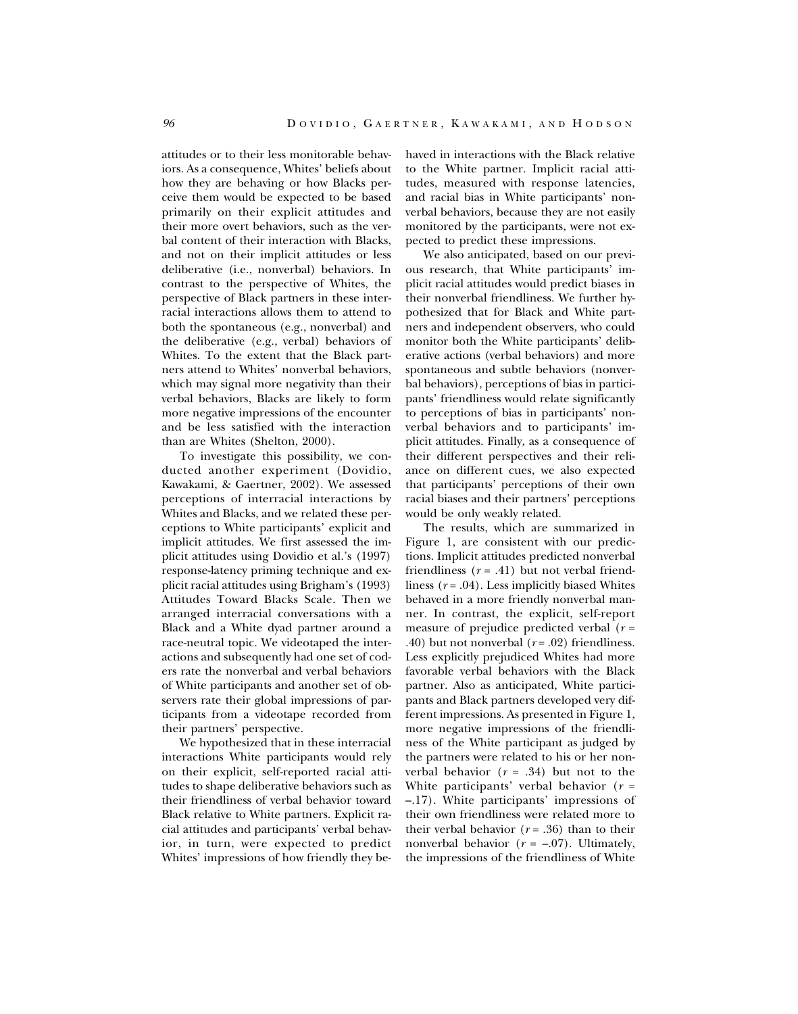attitudes or to their less monitorable behaviors. As a consequence, Whites' beliefs about how they are behaving or how Blacks perceive them would be expected to be based primarily on their explicit attitudes and their more overt behaviors, such as the verbal content of their interaction with Blacks, and not on their implicit attitudes or less deliberative (i.e., nonverbal) behaviors. In contrast to the perspective of Whites, the perspective of Black partners in these interracial interactions allows them to attend to both the spontaneous (e.g., nonverbal) and the deliberative (e.g., verbal) behaviors of Whites. To the extent that the Black partners attend to Whites' nonverbal behaviors, which may signal more negativity than their verbal behaviors, Blacks are likely to form more negative impressions of the encounter and be less satisfied with the interaction than are Whites (Shelton, 2000).

To investigate this possibility, we conducted another experiment (Dovidio, Kawakami, & Gaertner, 2002). We assessed perceptions of interracial interactions by Whites and Blacks, and we related these perceptions to White participants' explicit and implicit attitudes. We first assessed the implicit attitudes using Dovidio et al.'s (1997) response-latency priming technique and explicit racial attitudes using Brigham's (1993) Attitudes Toward Blacks Scale. Then we arranged interracial conversations with a Black and a White dyad partner around a race-neutral topic. We videotaped the interactions and subsequently had one set of coders rate the nonverbal and verbal behaviors of White participants and another set of observers rate their global impressions of participants from a videotape recorded from their partners' perspective.

We hypothesized that in these interracial interactions White participants would rely on their explicit, self-reported racial attitudes to shape deliberative behaviors such as their friendliness of verbal behavior toward Black relative to White partners. Explicit racial attitudes and participants' verbal behavior, in turn, were expected to predict Whites' impressions of how friendly they behaved in interactions with the Black relative to the White partner. Implicit racial attitudes, measured with response latencies, and racial bias in White participants' nonverbal behaviors, because they are not easily monitored by the participants, were not expected to predict these impressions.

We also anticipated, based on our previous research, that White participants' implicit racial attitudes would predict biases in their nonverbal friendliness. We further hypothesized that for Black and White partners and independent observers, who could monitor both the White participants' deliberative actions (verbal behaviors) and more spontaneous and subtle behaviors (nonverbal behaviors), perceptions of bias in participants' friendliness would relate significantly to perceptions of bias in participants' nonverbal behaviors and to participants' implicit attitudes. Finally, as a consequence of their different perspectives and their reliance on different cues, we also expected that participants' perceptions of their own racial biases and their partners' perceptions would be only weakly related.

The results, which are summarized in Figure 1, are consistent with our predictions. Implicit attitudes predicted nonverbal friendliness  $(r = .41)$  but not verbal friendliness (*r* = .04). Less implicitly biased Whites behaved in a more friendly nonverbal manner. In contrast, the explicit, self-report measure of prejudice predicted verbal (*r* = .40) but not nonverbal  $(r=.02)$  friendliness. Less explicitly prejudiced Whites had more favorable verbal behaviors with the Black partner. Also as anticipated, White participants and Black partners developed very different impressions. As presented in Figure 1, more negative impressions of the friendliness of the White participant as judged by the partners were related to his or her nonverbal behavior  $(r = .34)$  but not to the White participants' verbal behavior (*r* = –.17). White participants' impressions of their own friendliness were related more to their verbal behavior  $(r = .36)$  than to their nonverbal behavior  $(r = -.07)$ . Ultimately, the impressions of the friendliness of White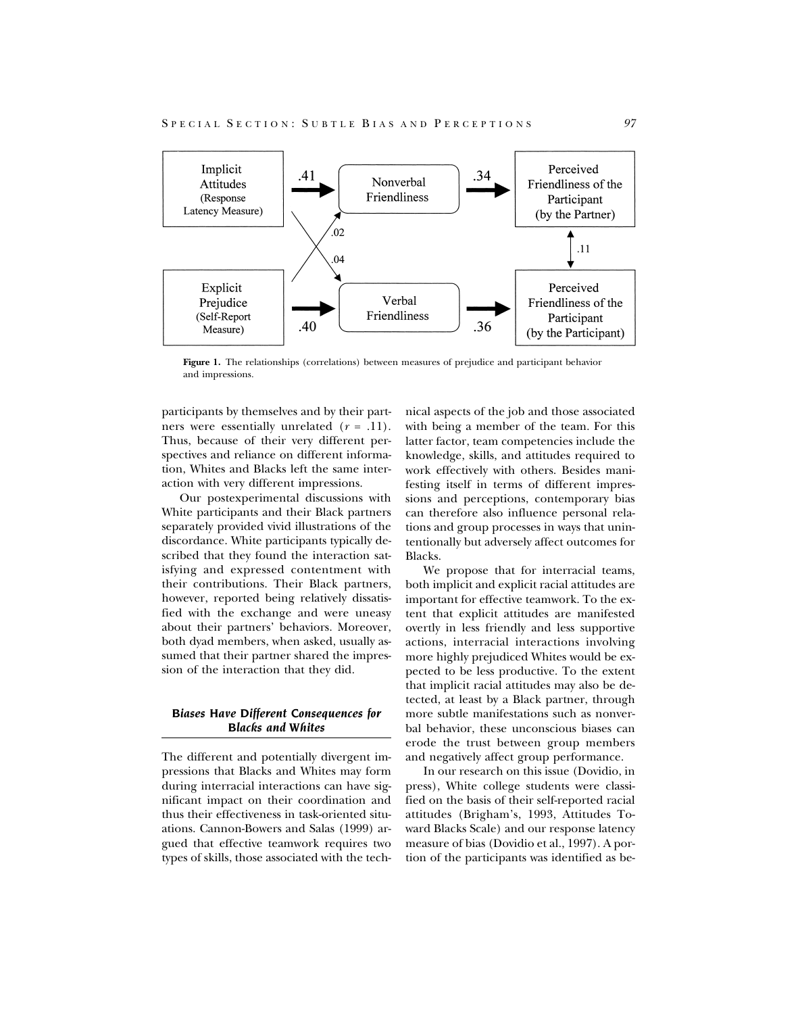

**Figure 1.** The relationships (correlations) between measures of prejudice and participant behavior and impressions.

participants by themselves and by their partners were essentially unrelated (*r* = .11). Thus, because of their very different perspectives and reliance on different information, Whites and Blacks left the same interaction with very different impressions.

Our postexperimental discussions with White participants and their Black partners separately provided vivid illustrations of the discordance. White participants typically described that they found the interaction satisfying and expressed contentment with their contributions. Their Black partners, however, reported being relatively dissatisfied with the exchange and were uneasy about their partners' behaviors. Moreover, both dyad members, when asked, usually assumed that their partner shared the impression of the interaction that they did.

# *Biases Have Different Consequences for Blacks and Whites*

The different and potentially divergent impressions that Blacks and Whites may form during interracial interactions can have significant impact on their coordination and thus their effectiveness in task-oriented situations. Cannon-Bowers and Salas (1999) argued that effective teamwork requires two types of skills, those associated with the technical aspects of the job and those associated with being a member of the team. For this latter factor, team competencies include the knowledge, skills, and attitudes required to work effectively with others. Besides manifesting itself in terms of different impressions and perceptions, contemporary bias can therefore also influence personal relations and group processes in ways that unintentionally but adversely affect outcomes for Blacks.

We propose that for interracial teams, both implicit and explicit racial attitudes are important for effective teamwork. To the extent that explicit attitudes are manifested overtly in less friendly and less supportive actions, interracial interactions involving more highly prejudiced Whites would be expected to be less productive. To the extent that implicit racial attitudes may also be detected, at least by a Black partner, through more subtle manifestations such as nonverbal behavior, these unconscious biases can erode the trust between group members and negatively affect group performance.

In our research on this issue (Dovidio, in press), White college students were classified on the basis of their self-reported racial attitudes (Brigham's, 1993, Attitudes Toward Blacks Scale) and our response latency measure of bias (Dovidio et al., 1997). A portion of the participants was identified as be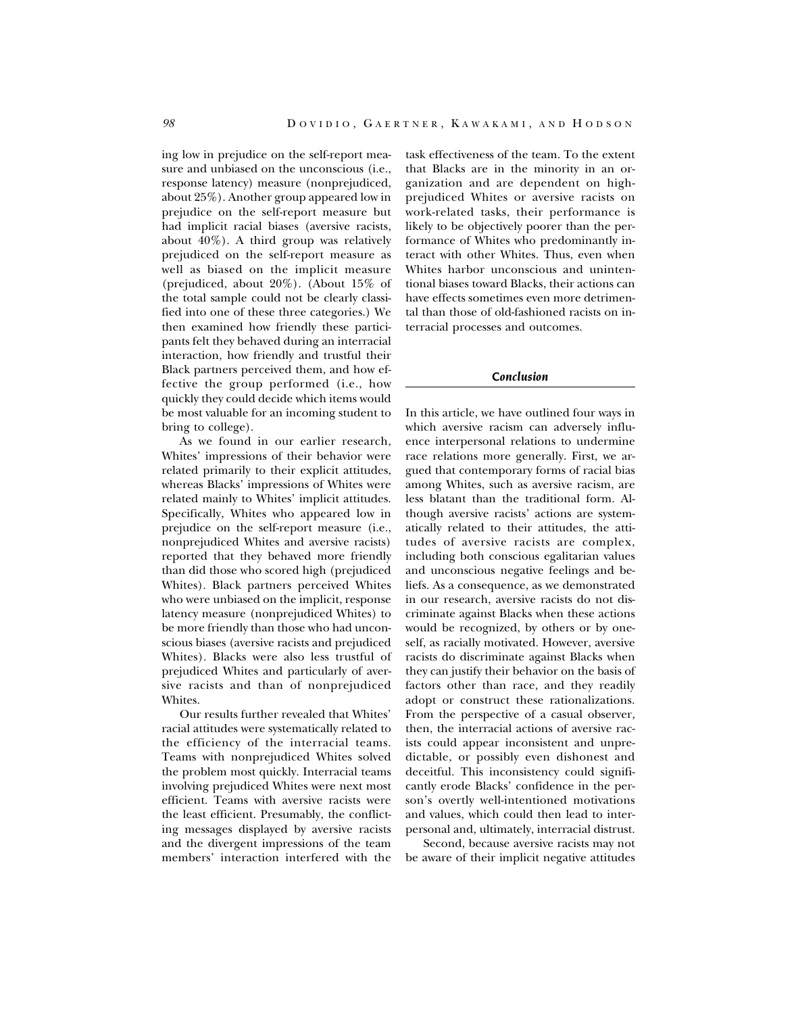ing low in prejudice on the self-report measure and unbiased on the unconscious (i.e., response latency) measure (nonprejudiced, about 25%). Another group appeared low in prejudice on the self-report measure but had implicit racial biases (aversive racists, about 40%). A third group was relatively prejudiced on the self-report measure as well as biased on the implicit measure (prejudiced, about 20%). (About 15% of the total sample could not be clearly classified into one of these three categories.) We then examined how friendly these participants felt they behaved during an interracial interaction, how friendly and trustful their Black partners perceived them, and how effective the group performed (i.e., how quickly they could decide which items would be most valuable for an incoming student to bring to college).

As we found in our earlier research, Whites' impressions of their behavior were related primarily to their explicit attitudes, whereas Blacks' impressions of Whites were related mainly to Whites' implicit attitudes. Specifically, Whites who appeared low in prejudice on the self-report measure (i.e., nonprejudiced Whites and aversive racists) reported that they behaved more friendly than did those who scored high (prejudiced Whites). Black partners perceived Whites who were unbiased on the implicit, response latency measure (nonprejudiced Whites) to be more friendly than those who had unconscious biases (aversive racists and prejudiced Whites). Blacks were also less trustful of prejudiced Whites and particularly of aversive racists and than of nonprejudiced Whites.

Our results further revealed that Whites' racial attitudes were systematically related to the efficiency of the interracial teams. Teams with nonprejudiced Whites solved the problem most quickly. Interracial teams involving prejudiced Whites were next most efficient. Teams with aversive racists were the least efficient. Presumably, the conflicting messages displayed by aversive racists and the divergent impressions of the team members' interaction interfered with the

task effectiveness of the team. To the extent that Blacks are in the minority in an organization and are dependent on highprejudiced Whites or aversive racists on work-related tasks, their performance is likely to be objectively poorer than the performance of Whites who predominantly interact with other Whites. Thus, even when Whites harbor unconscious and unintentional biases toward Blacks, their actions can have effects sometimes even more detrimental than those of old-fashioned racists on interracial processes and outcomes.

# *Conclusion*

In this article, we have outlined four ways in which aversive racism can adversely influence interpersonal relations to undermine race relations more generally. First, we argued that contemporary forms of racial bias among Whites, such as aversive racism, are less blatant than the traditional form. Although aversive racists' actions are systematically related to their attitudes, the attitudes of aversive racists are complex, including both conscious egalitarian values and unconscious negative feelings and beliefs. As a consequence, as we demonstrated in our research, aversive racists do not discriminate against Blacks when these actions would be recognized, by others or by oneself, as racially motivated. However, aversive racists do discriminate against Blacks when they can justify their behavior on the basis of factors other than race, and they readily adopt or construct these rationalizations. From the perspective of a casual observer, then, the interracial actions of aversive racists could appear inconsistent and unpredictable, or possibly even dishonest and deceitful. This inconsistency could significantly erode Blacks' confidence in the person's overtly well-intentioned motivations and values, which could then lead to interpersonal and, ultimately, interracial distrust.

Second, because aversive racists may not be aware of their implicit negative attitudes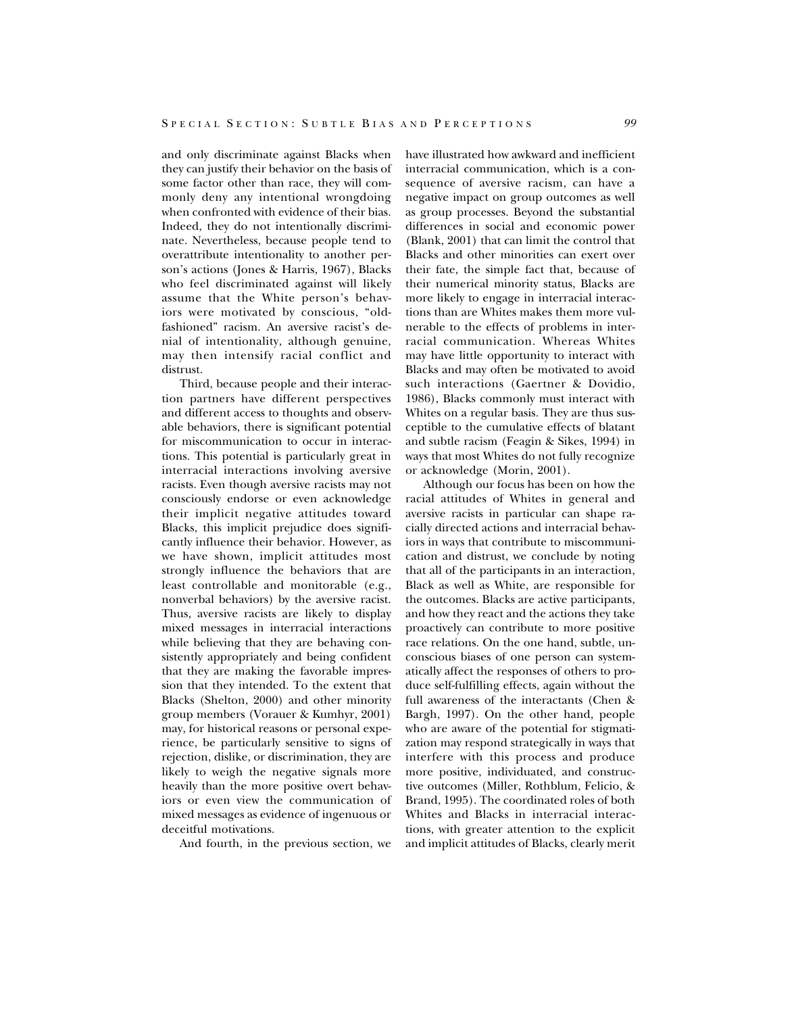and only discriminate against Blacks when they can justify their behavior on the basis of some factor other than race, they will commonly deny any intentional wrongdoing when confronted with evidence of their bias. Indeed, they do not intentionally discriminate. Nevertheless, because people tend to overattribute intentionality to another person's actions (Jones & Harris, 1967), Blacks who feel discriminated against will likely assume that the White person's behaviors were motivated by conscious, "oldfashioned" racism. An aversive racist's denial of intentionality, although genuine, may then intensify racial conflict and distrust.

Third, because people and their interaction partners have different perspectives and different access to thoughts and observable behaviors, there is significant potential for miscommunication to occur in interactions. This potential is particularly great in interracial interactions involving aversive racists. Even though aversive racists may not consciously endorse or even acknowledge their implicit negative attitudes toward Blacks, this implicit prejudice does significantly influence their behavior. However, as we have shown, implicit attitudes most strongly influence the behaviors that are least controllable and monitorable (e.g., nonverbal behaviors) by the aversive racist. Thus, aversive racists are likely to display mixed messages in interracial interactions while believing that they are behaving consistently appropriately and being confident that they are making the favorable impression that they intended. To the extent that Blacks (Shelton, 2000) and other minority group members (Vorauer & Kumhyr, 2001) may, for historical reasons or personal experience, be particularly sensitive to signs of rejection, dislike, or discrimination, they are likely to weigh the negative signals more heavily than the more positive overt behaviors or even view the communication of mixed messages as evidence of ingenuous or deceitful motivations.

And fourth, in the previous section, we

have illustrated how awkward and inefficient interracial communication, which is a consequence of aversive racism, can have a negative impact on group outcomes as well as group processes. Beyond the substantial differences in social and economic power (Blank, 2001) that can limit the control that Blacks and other minorities can exert over their fate, the simple fact that, because of their numerical minority status, Blacks are more likely to engage in interracial interactions than are Whites makes them more vulnerable to the effects of problems in interracial communication. Whereas Whites may have little opportunity to interact with Blacks and may often be motivated to avoid such interactions (Gaertner & Dovidio, 1986), Blacks commonly must interact with Whites on a regular basis. They are thus susceptible to the cumulative effects of blatant and subtle racism (Feagin & Sikes, 1994) in ways that most Whites do not fully recognize or acknowledge (Morin, 2001).

Although our focus has been on how the racial attitudes of Whites in general and aversive racists in particular can shape racially directed actions and interracial behaviors in ways that contribute to miscommunication and distrust, we conclude by noting that all of the participants in an interaction, Black as well as White, are responsible for the outcomes. Blacks are active participants, and how they react and the actions they take proactively can contribute to more positive race relations. On the one hand, subtle, unconscious biases of one person can systematically affect the responses of others to produce self-fulfilling effects, again without the full awareness of the interactants (Chen & Bargh, 1997). On the other hand, people who are aware of the potential for stigmatization may respond strategically in ways that interfere with this process and produce more positive, individuated, and constructive outcomes (Miller, Rothblum, Felicio, & Brand, 1995). The coordinated roles of both Whites and Blacks in interracial interactions, with greater attention to the explicit and implicit attitudes of Blacks, clearly merit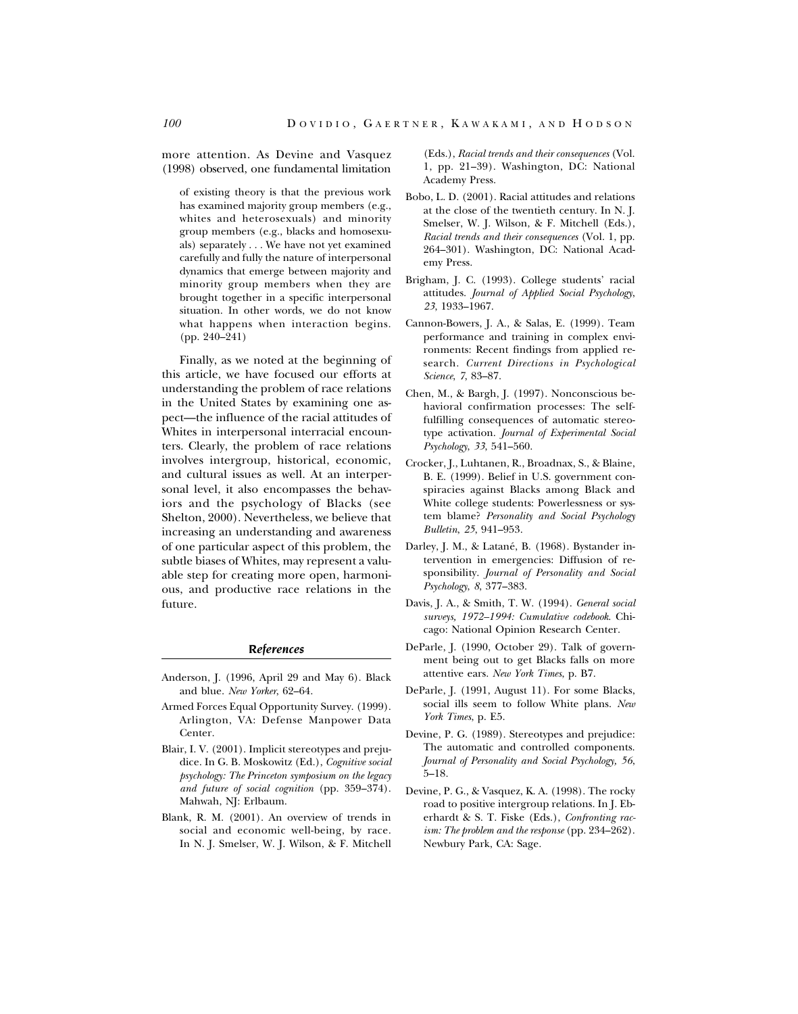more attention. As Devine and Vasquez (1998) observed, one fundamental limitation

of existing theory is that the previous work has examined majority group members (e.g., whites and heterosexuals) and minority group members (e.g., blacks and homosexuals) separately . . . We have not yet examined carefully and fully the nature of interpersonal dynamics that emerge between majority and minority group members when they are brought together in a specific interpersonal situation. In other words, we do not know what happens when interaction begins. (pp. 240–241)

Finally, as we noted at the beginning of this article, we have focused our efforts at understanding the problem of race relations in the United States by examining one aspect—the influence of the racial attitudes of Whites in interpersonal interracial encounters. Clearly, the problem of race relations involves intergroup, historical, economic, and cultural issues as well. At an interpersonal level, it also encompasses the behaviors and the psychology of Blacks (see Shelton, 2000). Nevertheless, we believe that increasing an understanding and awareness of one particular aspect of this problem, the subtle biases of Whites, may represent a valuable step for creating more open, harmonious, and productive race relations in the future.

# *References*

- Anderson, J. (1996, April 29 and May 6). Black and blue. *New Yorker*, 62–64.
- Armed Forces Equal Opportunity Survey. (1999). Arlington, VA: Defense Manpower Data Center.
- Blair, I. V. (2001). Implicit stereotypes and prejudice. In G. B. Moskowitz (Ed.), *Cognitive social psychology: The Princeton symposium on the legacy and future of social cognition* (pp. 359–374). Mahwah, NJ: Erlbaum.
- Blank, R. M. (2001). An overview of trends in social and economic well-being, by race. In N. J. Smelser, W. J. Wilson, & F. Mitchell

(Eds.), *Racial trends and their consequences* (Vol. 1, pp. 21–39). Washington, DC: National Academy Press.

- Bobo, L. D. (2001). Racial attitudes and relations at the close of the twentieth century. In N. J. Smelser, W. J. Wilson, & F. Mitchell (Eds.), *Racial trends and their consequences* (Vol. 1, pp. 264–301). Washington, DC: National Academy Press.
- Brigham, J. C. (1993). College students' racial attitudes. *Journal of Applied Social Psychology*, *23*, 1933–1967.
- Cannon-Bowers, J. A., & Salas, E. (1999). Team performance and training in complex environments: Recent findings from applied research. *Current Directions in Psychological Science*, *7*, 83–87.
- Chen, M., & Bargh, J. (1997). Nonconscious behavioral confirmation processes: The selffulfilling consequences of automatic stereotype activation. *Journal of Experimental Social Psychology*, *33*, 541–560.
- Crocker, J., Luhtanen, R., Broadnax, S., & Blaine, B. E. (1999). Belief in U.S. government conspiracies against Blacks among Black and White college students: Powerlessness or system blame? *Personality and Social Psychology Bulletin*, *25*, 941–953.
- Darley, J. M., & Latané, B. (1968). Bystander intervention in emergencies: Diffusion of responsibility. *Journal of Personality and Social Psychology*, *8*, 377–383.
- Davis, J. A., & Smith, T. W. (1994). *General social surveys, 1972–1994: Cumulative codebook*. Chicago: National Opinion Research Center.
- DeParle, J. (1990, October 29). Talk of government being out to get Blacks falls on more attentive ears. *New York Times*, p. B7.
- DeParle, J. (1991, August 11). For some Blacks, social ills seem to follow White plans. *New York Times*, p. E5.
- Devine, P. G. (1989). Stereotypes and prejudice: The automatic and controlled components. *Journal of Personality and Social Psychology, 56*, 5–18.
- Devine, P. G., & Vasquez, K. A. (1998). The rocky road to positive intergroup relations. In J. Eberhardt & S. T. Fiske (Eds.), *Confronting racism: The problem and the response* (pp. 234–262). Newbury Park, CA: Sage.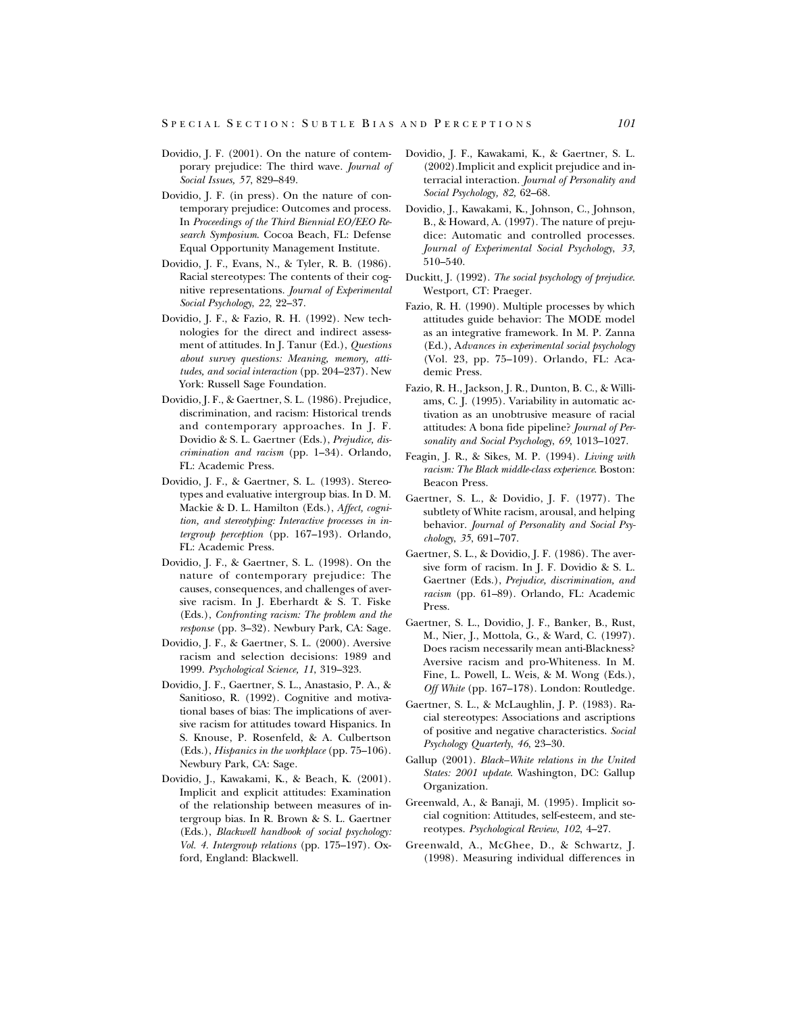- Dovidio, J. F. (2001). On the nature of contemporary prejudice: The third wave. *Journal of Social Issues, 57*, 829–849.
- Dovidio, J. F. (in press). On the nature of contemporary prejudice: Outcomes and process. In *Proceedings of the Third Biennial EO/EEO Research Symposium*. Cocoa Beach, FL: Defense Equal Opportunity Management Institute.
- Dovidio, J. F., Evans, N., & Tyler, R. B. (1986). Racial stereotypes: The contents of their cognitive representations. *Journal of Experimental Social Psychology*, *22*, 22–37.
- Dovidio, J. F., & Fazio, R. H. (1992). New technologies for the direct and indirect assessment of attitudes. In J. Tanur (Ed.), *Questions about survey questions: Meaning, memory, attitudes, and social interaction* (pp. 204–237). New York: Russell Sage Foundation.
- Dovidio, J. F., & Gaertner, S. L. (1986). Prejudice, discrimination, and racism: Historical trends and contemporary approaches. In J. F. Dovidio & S. L. Gaertner (Eds.), *Prejudice, discrimination and racism* (pp. 1–34). Orlando, FL: Academic Press.
- Dovidio, J. F., & Gaertner, S. L. (1993). Stereotypes and evaluative intergroup bias. In D. M. Mackie & D. L. Hamilton (Eds.), *Affect, cognition, and stereotyping: Interactive processes in intergroup perception* (pp. 167–193). Orlando, FL: Academic Press.
- Dovidio, J. F., & Gaertner, S. L. (1998). On the nature of contemporary prejudice: The causes, consequences, and challenges of aversive racism. In J. Eberhardt & S. T. Fiske (Eds.), *Confronting racism: The problem and the response* (pp. 3–32). Newbury Park, CA: Sage.
- Dovidio, J. F., & Gaertner, S. L. (2000). Aversive racism and selection decisions: 1989 and 1999. *Psychological Science, 11*, 319–323.
- Dovidio, J. F., Gaertner, S. L., Anastasio, P. A., & Sanitioso, R. (1992). Cognitive and motivational bases of bias: The implications of aversive racism for attitudes toward Hispanics. In S. Knouse, P. Rosenfeld, & A. Culbertson (Eds.), *Hispanics in the workplace* (pp. 75–106). Newbury Park, CA: Sage.
- Dovidio, J., Kawakami, K., & Beach, K. (2001). Implicit and explicit attitudes: Examination of the relationship between measures of intergroup bias. In R. Brown & S. L. Gaertner (Eds.), *Blackwell handbook of social psychology: Vol. 4. Intergroup relations* (pp. 175–197). Oxford, England: Blackwell.
- Dovidio, J. F., Kawakami, K., & Gaertner, S. L. (2002).Implicit and explicit prejudice and interracial interaction. *Journal of Personality and Social Psychology, 82,* 62–68.
- Dovidio, J., Kawakami, K., Johnson, C., Johnson, B., & Howard, A. (1997). The nature of prejudice: Automatic and controlled processes. *Journal of Experimental Social Psychology*, *33*, 510–540.
- Duckitt, J. (1992). *The social psychology of prejudice*. Westport, CT: Praeger.
- Fazio, R. H. (1990). Multiple processes by which attitudes guide behavior: The MODE model as an integrative framework. In M. P. Zanna (Ed.), A*dvances in experimental social psychology* (Vol. 23, pp. 75–109). Orlando, FL: Academic Press.
- Fazio, R. H., Jackson, J. R., Dunton, B. C., & Williams, C. J. (1995). Variability in automatic activation as an unobtrusive measure of racial attitudes: A bona fide pipeline? *Journal of Personality and Social Psychology*, *69*, 1013–1027.
- Feagin, J. R., & Sikes, M. P. (1994). *Living with racism: The Black middle-class experience*. Boston: Beacon Press.
- Gaertner, S. L., & Dovidio, J. F. (1977). The subtlety of White racism, arousal, and helping behavior. *Journal of Personality and Social Psychology*, *35*, 691–707.
- Gaertner, S. L., & Dovidio, J. F. (1986). The aversive form of racism. In J. F. Dovidio & S. L. Gaertner (Eds.), *Prejudice, discrimination, and racism* (pp. 61–89). Orlando, FL: Academic Press.
- Gaertner, S. L., Dovidio, J. F., Banker, B., Rust, M., Nier, J., Mottola, G., & Ward, C. (1997). Does racism necessarily mean anti-Blackness? Aversive racism and pro-Whiteness. In M. Fine, L. Powell, L. Weis, & M. Wong (Eds.), *Off White* (pp. 167–178). London: Routledge.
- Gaertner, S. L., & McLaughlin, J. P. (1983). Racial stereotypes: Associations and ascriptions of positive and negative characteristics. *Social Psychology Quarterly*, *46*, 23–30.
- Gallup (2001). *Black–White relations in the United States: 2001 update*. Washington, DC: Gallup Organization.
- Greenwald, A., & Banaji, M. (1995). Implicit social cognition: Attitudes, self-esteem, and stereotypes. *Psychological Review*, *102*, 4–27.
- Greenwald, A., McGhee, D., & Schwartz, J. (1998). Measuring individual differences in